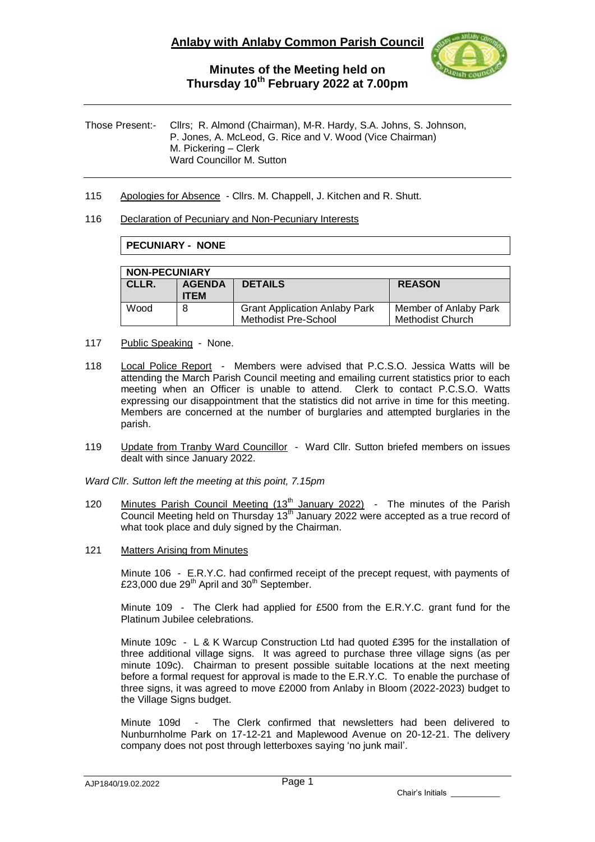

Those Present:- Cllrs; R. Almond (Chairman), M-R. Hardy, S.A. Johns, S. Johnson, P. Jones, A. McLeod, G. Rice and V. Wood (Vice Chairman) M. Pickering – Clerk Ward Councillor M. Sutton

115 Apologies for Absence - Cllrs. M. Chappell, J. Kitchen and R. Shutt.

#### 116 Declaration of Pecuniary and Non-Pecuniary Interests

### **PECUNIARY - NONE**

| <b>NON-PECUNIARY</b> |                              |                                                                     |                                                  |  |  |
|----------------------|------------------------------|---------------------------------------------------------------------|--------------------------------------------------|--|--|
| CLLR.                | <b>AGENDA</b><br><b>ITEM</b> | <b>DETAILS</b>                                                      | <b>REASON</b>                                    |  |  |
| Wood                 | 8                            | <b>Grant Application Anlaby Park</b><br><b>Methodist Pre-School</b> | Member of Anlaby Park<br><b>Methodist Church</b> |  |  |

- 117 Public Speaking None.
- 118 Local Police Report Members were advised that P.C.S.O. Jessica Watts will be attending the March Parish Council meeting and emailing current statistics prior to each meeting when an Officer is unable to attend. Clerk to contact P.C.S.O. Watts expressing our disappointment that the statistics did not arrive in time for this meeting. Members are concerned at the number of burglaries and attempted burglaries in the parish.
- 119 Update from Tranby Ward Councillor Ward Cllr. Sutton briefed members on issues dealt with since January 2022.

*Ward Cllr. Sutton left the meeting at this point, 7.15pm*

- 120 Minutes Parish Council Meeting (13<sup>th</sup> January 2022) The minutes of the Parish Council Meeting held on Thursday  $13<sup>th</sup>$  January 2022 were accepted as a true record of what took place and duly signed by the Chairman.
- 121 Matters Arising from Minutes

Minute 106 - E.R.Y.C. had confirmed receipt of the precept request, with payments of £23,000 due 29<sup>th</sup> April and 30<sup>th</sup> September.

Minute 109 - The Clerk had applied for £500 from the E.R.Y.C. grant fund for the Platinum Jubilee celebrations.

Minute 109c - L & K Warcup Construction Ltd had quoted £395 for the installation of three additional village signs. It was agreed to purchase three village signs (as per minute 109c). Chairman to present possible suitable locations at the next meeting before a formal request for approval is made to the E.R.Y.C. To enable the purchase of three signs, it was agreed to move £2000 from Anlaby in Bloom (2022-2023) budget to the Village Signs budget.

Minute 109d - The Clerk confirmed that newsletters had been delivered to Nunburnholme Park on 17-12-21 and Maplewood Avenue on 20-12-21. The delivery company does not post through letterboxes saying 'no junk mail'.

Chair's Initials \_\_\_\_\_\_\_\_\_\_\_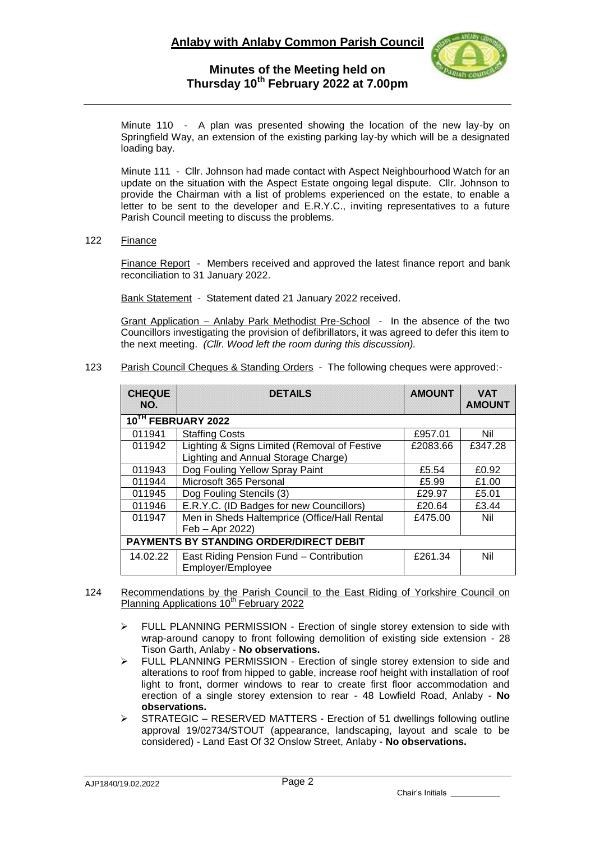

Minute 110 - A plan was presented showing the location of the new lay-by on Springfield Way, an extension of the existing parking lay-by which will be a designated loading bay.

Minute 111 - Cllr. Johnson had made contact with Aspect Neighbourhood Watch for an update on the situation with the Aspect Estate ongoing legal dispute. Cllr. Johnson to provide the Chairman with a list of problems experienced on the estate, to enable a letter to be sent to the developer and E.R.Y.C., inviting representatives to a future Parish Council meeting to discuss the problems.

122 Finance

Finance Report - Members received and approved the latest finance report and bank reconciliation to 31 January 2022.

Bank Statement - Statement dated 21 January 2022 received.

Grant Application – Anlaby Park Methodist Pre-School - In the absence of the two Councillors investigating the provision of defibrillators, it was agreed to defer this item to the next meeting. *(Cllr. Wood left the room during this discussion).*

123 Parish Council Cheques & Standing Orders - The following cheques were approved:-

| <b>CHEQUE</b><br>NO.                    | <b>DETAILS</b>                                                                      | <b>AMOUNT</b> | <b>VAT</b><br><b>AMOUNT</b> |  |  |  |
|-----------------------------------------|-------------------------------------------------------------------------------------|---------------|-----------------------------|--|--|--|
| 10TH FEBRUARY 2022                      |                                                                                     |               |                             |  |  |  |
| 011941                                  | <b>Staffing Costs</b>                                                               | £957.01       | Nil                         |  |  |  |
| 011942                                  | Lighting & Signs Limited (Removal of Festive<br>Lighting and Annual Storage Charge) | £2083.66      | £347.28                     |  |  |  |
| 011943                                  | Dog Fouling Yellow Spray Paint                                                      | £5.54         | £0.92                       |  |  |  |
| 011944                                  | Microsoft 365 Personal                                                              | £5.99         | £1.00                       |  |  |  |
| 011945                                  | Dog Fouling Stencils (3)                                                            | £29.97        | £5.01                       |  |  |  |
| 011946                                  | E.R.Y.C. (ID Badges for new Councillors)                                            | £20.64        | £3.44                       |  |  |  |
| 011947                                  | Men in Sheds Haltemprice (Office/Hall Rental<br>Feb - Apr 2022)                     | £475.00       | Nil                         |  |  |  |
| PAYMENTS BY STANDING ORDER/DIRECT DEBIT |                                                                                     |               |                             |  |  |  |
| 14.02.22                                | East Riding Pension Fund - Contribution<br>Employer/Employee                        | £261.34       | Nil                         |  |  |  |

#### 124 Recommendations by the Parish Council to the East Riding of Yorkshire Council on Planning Applications 10<sup>th</sup> February 2022

- $\triangleright$  FULL PLANNING PERMISSION Erection of single storey extension to side with wrap-around canopy to front following demolition of existing side extension - 28 Tison Garth, Anlaby - **No observations.**
- > FULL PLANNING PERMISSION Erection of single storey extension to side and alterations to roof from hipped to gable, increase roof height with installation of roof light to front, dormer windows to rear to create first floor accommodation and erection of a single storey extension to rear - 48 Lowfield Road, Anlaby - **No observations.**
- $\triangleright$  STRATEGIC RESERVED MATTERS Erection of 51 dwellings following outline approval 19/02734/STOUT (appearance, landscaping, layout and scale to be considered) - Land East Of 32 Onslow Street, Anlaby - **No observations.**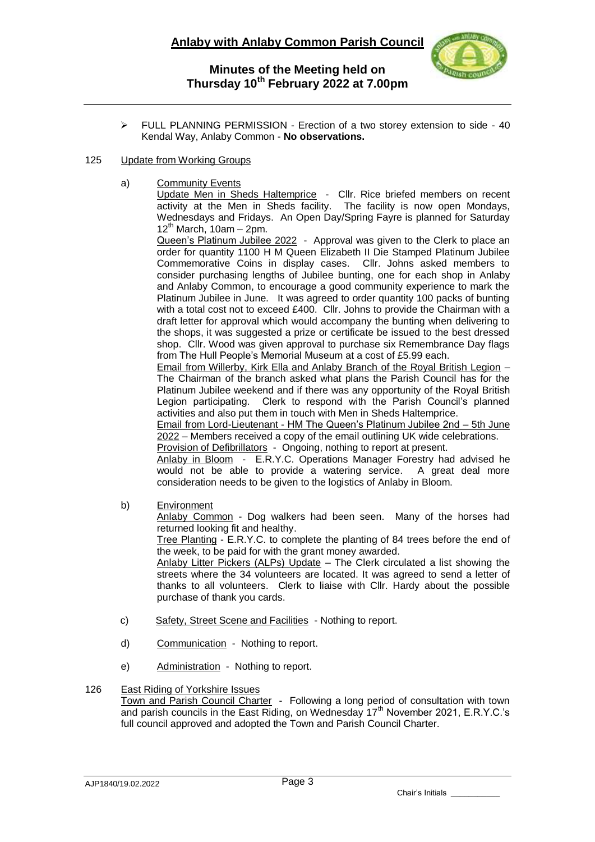

 FULL PLANNING PERMISSION - Erection of a two storey extension to side - 40 Kendal Way, Anlaby Common - **No observations.**

### 125 Update from Working Groups

a) Community Events

Update Men in Sheds Haltemprice - Cllr. Rice briefed members on recent activity at the Men in Sheds facility. The facility is now open Mondays, Wednesdays and Fridays. An Open Day/Spring Fayre is planned for Saturday  $12^{th}$  March, 10am – 2pm.

Queen's Platinum Jubilee 2022 - Approval was given to the Clerk to place an order for quantity 1100 H M Queen Elizabeth II Die Stamped Platinum Jubilee Commemorative Coins in display cases. Cllr. Johns asked members to consider purchasing lengths of Jubilee bunting, one for each shop in Anlaby and Anlaby Common, to encourage a good community experience to mark the Platinum Jubilee in June. It was agreed to order quantity 100 packs of bunting with a total cost not to exceed £400. Cllr. Johns to provide the Chairman with a draft letter for approval which would accompany the bunting when delivering to the shops, it was suggested a prize or certificate be issued to the best dressed shop. Cllr. Wood was given approval to purchase six Remembrance Day flags from The Hull People's Memorial Museum at a cost of £5.99 each.

Email from Willerby, Kirk Ella and Anlaby Branch of the Royal British Legion – The Chairman of the branch asked what plans the Parish Council has for the Platinum Jubilee weekend and if there was any opportunity of the Royal British Legion participating. Clerk to respond with the Parish Council's planned activities and also put them in touch with Men in Sheds Haltemprice.

Email from Lord-Lieutenant - HM The Queen's Platinum Jubilee 2nd – 5th June 2022 – Members received a copy of the email outlining UK wide celebrations. Provision of Defibrillators - Ongoing, nothing to report at present.

Anlaby in Bloom - E.R.Y.C. Operations Manager Forestry had advised he would not be able to provide a watering service. A great deal more consideration needs to be given to the logistics of Anlaby in Bloom.

b) Environment

Anlaby Common - Dog walkers had been seen. Many of the horses had returned looking fit and healthy.

Tree Planting - E.R.Y.C. to complete the planting of 84 trees before the end of the week, to be paid for with the grant money awarded.

Anlaby Litter Pickers (ALPs) Update – The Clerk circulated a list showing the streets where the 34 volunteers are located. It was agreed to send a letter of thanks to all volunteers. Clerk to liaise with Cllr. Hardy about the possible purchase of thank you cards.

- c) Safety, Street Scene and Facilities Nothing to report.
- d) Communication Nothing to report.
- e) Administration Nothing to report.

### 126 East Riding of Yorkshire Issues

Town and Parish Council Charter - Following a long period of consultation with town and parish councils in the East Riding, on Wednesday 17<sup>th</sup> November 2021, E.R.Y.C.'s full council approved and adopted the Town and Parish Council Charter.